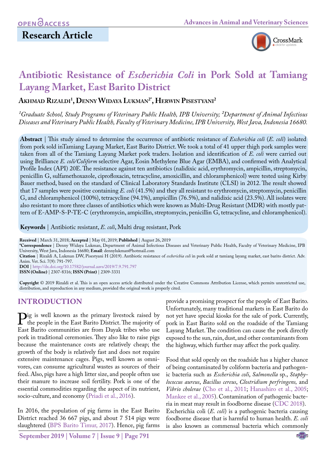# **Research Article**



# **Antibiotic Resistance of** *Escherichia Coli* **in Pork Sold at Tamiang Layang Market, East Barito District**

**Akhmad Rizaldi1 , Denny Widaya Lukman2\*, Herwin Pisestyani2**

<sup>1</sup> Graduate School, Study Programs of Veterinary Public Health, IPB University; <sup>2</sup>Department of Animal Infectious *Diseases and Veterinary Public Health, Faculty of Veterinary Medicine, IPB University, West Java, Indonesia 16680.* 

**Abstract** | This study aimed to determine the occurrence of antibiotic resistance of *Escherichia coli* (*E. coli*) isolated from pork sold inTamiang Layang Market, East Barito District. We took a total of 41 upper thigh pork samples were taken from all of the Tamiang Layang Market pork traders. Isolation and identification of *E. coli* were carried out using Brilliance *E. coli/Coliform* selective Agar, Eosin Methylene Blue Agar (EMBA), and confirmed with Analytical Profile Index (API) 20E. The resistance against ten antibiotics (nalidixic acid, erythromycin, ampicillin, streptomycin, penicillin G, sulfamethoxazole, ciprofloxacin, tetracycline, amoxicillin, and chloramphenicol) were tested using Kirby Bauer method, based on the standard of Clinical Laboratory Standards Institute (CLSI) in 2012. The result showed that 17 samples were positive containing *E. coli* (41.5%) and they all resistant to erythromycin, streptomycin, penicillin G, and chloramphenicol (100%), tetracycline (94.1%), ampicillin (76.5%), and nalidixic acid (23.5%). All isolates were also resistant to more three classes of antibiotics which were known as Multi-Drug Resistant (MDR) with mostly pattern of E-AMP-S-P-TE-C (erythromycin, ampicillin, streptomycin, penicillin G, tetracycline, and chloramphenicol).

**Keywords** | Antibiotic resistant, *E. coli*, Multi drug resistant, Pork

**Received** | March 31, 2018; **Accepted** | May 01, 2019; **Published** | August 26, 2019

**\*Correspondence** | Denny Widaya Lukman, Department of Animal Infectious Diseases and Veterinary Public Health, Faculty of Veterinary Medicine, IPB University, West Java, Indonesia 16680; **Email**: dennylukman@hotmail.com

**Citation** | Rizaldi A, Lukman DW, Pisestyani H (2019). Antibiotic resistance of *escherichia coli* in pork sold at tamiang layang market, east barito district. Adv. Anim. Vet. Sci. 7(9): 791-797.

**DOI** | [http://dx.doi.org/10.17582/journal.aavs/2019](http://dx.doi.org/10.17582/journal.aavs/2019/7.9.791.797)/7.9.791.797

**ISSN (Online)** | 2307-8316; **ISSN (Print)** | 2309-3331

**Copyright** © 2019 Rizaldi et al. This is an open access article distributed under the Creative Commons Attribution License, which permits unrestricted use, distribution, and reproduction in any medium, provided the original work is properly cited.

## **INTRODUCTION**

**Pig is well known as the primary livestock raised by** the people in the East Barito District. The majority of East Barito communities are from Davak tribes who use East Barito communities are from Dayak tribes who use pork in traditional ceremonies. They also like to raise pigs because the maintenance costs are relatively cheap; the growth of the body is relatively fast and does not require extensive maintenance cages. Pigs, well known as omnivores, can consume agricultural wastes as sources of their feed. Also, pigs have a high litter size, and people often use their manure to increase soil fertility. Pork is one of the essential commodities regarding the aspect of its nutrient, socio-culture, and economy ([Priadi et al., 2016](#page-5-0)).

In 2016, the population of pig farms in the East Barito District reached 36 667 pigs, and about 7 514 pigs were slaughtered ([BPS Barito Timur, 2017\)](#page-5-1). Hence, pig farms

**September 2019 | Volume 7 | Issue 9 | Page 791**

provide a promising prospect for the people of East Barito. Unfortunately, many traditional markets in East Barito do not yet have special kiosks for the sale of pork. Currently, pork in East Barito sold on the roadside of the Tamiang Layang Market. The condition can cause the pork directly exposed to the sun, rain, dust, and other contaminants from the highway, which further may affect the pork quality.

Food that sold openly on the roadside has a higher chance of being contaminated by coliform bacteria and pathogenic bacteria such as *Escherichia coli*, *Salmonella* sp., *Staphylococcus aureus*, *Bacillus cereus*, *Clostridium perfringens,* and *Vibrio cholerae* ([Cho et al., 2011](#page-5-2); Hanashiro et al., 2005; [Mankee et al., 2005](#page-5-3)). Contamination of pathogenic bacteria in meat may result in foodborne disease ([CDC 2018](#page-5-4)). Escherichia coli (*E. coli*) is a pathogenic bacteria causing foodborne disease that is harmful to human health. *E. coli* is also known as commensal bacteria which commonly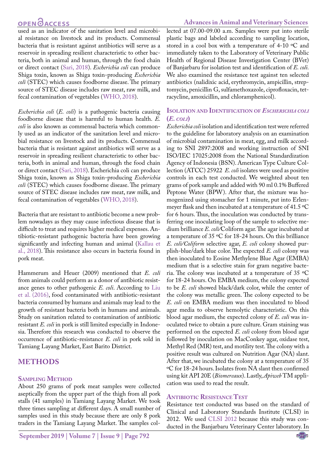#### **Advances in Animal and Veterinary Sciences**

used as an indicator of the sanitation level and microbial resistance on livestock and its products. Commensal bacteria that is resistant against antibiotics will serve as a reservoir in spreading resilient characteristic to other bacteria, both in animal and human, through the food chain or direct contact [\(Sari, 2018](#page-6-0)). *Escherichia coli* can produce Shiga toxin, known as Shiga toxin-producing *Escherichia coli* (STEC) which causes foodborne disease. The primary source of STEC disease includes raw meat, raw milk, and fecal contamination of vegetables (WHO, 2018).

*Escherichia coli* (*E. coli*) is a pathogenic bacteria causing foodborne disease that is harmful to human health. *E. coli* is also known as commensal bacteria which commonly used as an indicator of the sanitation level and microbial resistance on livestock and its products. Commensal bacteria that is resistant against antibiotics will serve as a reservoir in spreading resilient characteristic to other bacteria, both in animal and human, through the food chain or direct contact [\(Sari, 2018](#page-6-0)). Escherichia coli can produce Shiga toxin, known as Shiga toxin-producing *Escherichia coli* (STEC) which causes foodborne disease. The primary source of STEC disease includes raw meat, raw milk, and fecal contamination of vegetables (WHO, 2018).

Bacteria that are resistant to antibiotic become a new problem nowadays as they may cause infectious disease that is difficult to treat and requires higher medical expenses. Antibiotic-resistant pathogenic bacteria have been growing significantly and infecting human and animal [\(Kallau et](#page-5-5) [al., 2018](#page-5-5)). This resistance also occurs in bacteria found in pork meat.

Hammerum and Heuer (2009) mentioned that *E. coli* from animals could perform as a donor of antibiotic resistance genes to other pathogenic *E. coli*. According to [Liu](#page-5-6) [et al. \(2016\)](#page-5-6), food contaminated with antibiotic-resistant bacteria consumed by humans and animals may lead to the growth of resistant bacteria both in humans and animals. Study on sanitation related to contamination of antibiotic resistant *E. coli* in pork is still limited especially in Indonesia. Therefore this research was conducted to observe the occurrence of antibiotic-resistance *E. coli* in pork sold in Tamiang Layang Market, East Barito District.

### **METHODS**

#### **Sampling Method**

About 250 grams of pork meat samples were collected aseptically from the upper part of the thigh from all pork stalls (41 samples) in Tamiang Layang Market. We took three times sampling at different days. A small number of samples used in this study because there are only 8 pork traders in the Tamiang Layang Market. The samples collected at 07.00-09.00 a.m. Samples were put into sterile plastic bags and labeled according to sampling location, stored in a cool box with a temperature of 4-10 ºC and immediately taken to the Laboratory of Veterinary Public Health of Regional Disease Investigation Center (BVet) of Banjarbaru for isolation test and identification of *E. coli.*  We also examined the resistance test against ten selected antibiotics (nalidixic acid, erythromycin, ampicillin, streptomycin, penicillin G, sulfamethoxazole, ciprofloxacin, tetracycline, amoxicillin, and chloramphenicol).

#### **Isolation and Identification of** *Escherichia coli* **(***E. coli***)**

*Escherichia coli* isolation and identification test were referred to the guideline for laboratory analysis on an examination of microbial contamination in meat, egg, and milk according to SNI 2897:2008 and working instruction of SNI ISO/IEC 17025:2008 from the National Standardization Agency of Indonesia (BSN). American Type Culture Collection (ATCC) 25922 *E. coli* isolates were used as positive controls in each test conducted. We weighted about ten grams of pork sample and added with 90 ml 0.1% Buffered Peptone Water (BPW). After that, the mixture was homogenized using stomacher for 1 minute, put into Erlenmeyer flask and then incubated at a temperature of 41.5 ºC for 6 hours. Thus, the inoculation was conducted by transferring one inoculating loop of the sample to selective medium brilliance *E. coli/*Coliform agar. The agar incubated at a temperature of 35 ºC for 18-24 hours. On this brilliance *E. coli/Coliform* selective agar, *E. coli* colony showed purplish-blue/dark blue color. The expected *E. coli* colony was then inoculated to Eosine Methylene Blue Agar (EMBA) medium that is a selective stain for gram negative bacteria. The colony was incubated at a temperature of 35 ºC for 18-24 hours. On EMBA medium, the colony expected to be *E. coli* showed black/dark color, while the center of the colony was metallic green. The colony expected to be *E. coli* on EMBA medium was then inoculated to blood agar media to observe hemolytic characteristic. On this blood agar medium, the expected colony of *E. coli* was inoculated twice to obtain a pure culture. Gram staining was performed on the expected *E. coli* colony from blood agar followed by inoculation on MacConkey agar, oxidase test, Methyl Red (MR) test, and motility test. The colony with a positive result was cultured on Nutrition Agar (NA) slant. After that, we incubated the colony at a temperature of 35 ºC for 18-24 hours. Isolates from NA slant then confirmed using kit API 20E (*Biomereaux*). Lastly, *Apiweb* TM application was used to read the result.

#### **Antibiotic Resistance Test**

Resistance test conducted was based on the standard of Clinical and Laboratory Standards Institute (CLSI) in 2012. We used [CLSI 2012](#page-5-7) because this study was conducted in the Banjarbaru Veterinary Center laboratory. In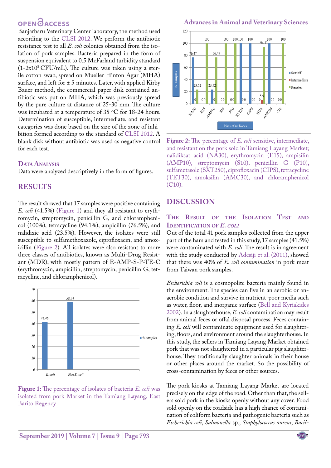Banjarbaru Veterinary Center laboratory, the method used according to the [CLSI 2012](#page-5-7). We perform the antibiotic resistance test to all *E. coli* colonies obtained from the isolation of pork samples. Bacteria prepared in the form of suspension equivalent to 0.5 McFarland turbidity standard  $(1-2x10^8 \text{ CFU/mL})$ . The culture was taken using a sterile cotton swab, spread on Mueller Hinton Agar (MHA) surface, and left for  $\pm$  5 minutes. Later, with applied Kirby Bauer method, the commercial paper disk contained antibiotic was put on MHA, which was previously spread by the pure culture at distance of 25-30 mm. The culture was incubated at a temperature of 35 ºC for 18-24 hours. Determination of susceptible, intermediate, and resistant categories was done based on the size of the zone of inhibition formed according to the standard of [CLSI 2012](#page-5-7). A blank disk without antibiotic was used as negative control for each test.

#### **DATA ANALYSIS**

Data were analyzed descriptively in the form of figures.

### **RESULTS**

The result showed that 17 samples were positive containing *E. coli* (41.5%) [\(Figure 1](#page-2-0)) and they all resistant to erythromycin, streptomycin, penicillin G, and chloramphenicol (100%), tetracycline (94.1%), ampicillin (76.5%), and nalidixic acid (23.5%). However, the isolates were still susceptible to sulfamethoxazole, ciprofloxacin, and amoxicillin ([Figure 2](#page-2-1)). All isolates were also resistant to more three classes of antibiotics, known as Multi-Drug Resistant (MDR), with mostly pattern of E-AMP-S-P-TE-C (erythromycin, ampicillin, streptomycin, penicillin G, tetracycline, and chloramphenicol).



<span id="page-2-0"></span>**Figure 1:** The percentage of isolates of bacteria *E. coli* was isolated from pork Market in the Tamiang Layang, East Barito Regency



<span id="page-2-1"></span>**Figure 2:** The percentage of *E. coli* sensitive, intermediate, and resistant on the pork sold in Tamiang Layang Market; nalidiksat acid (NA30), erythromycin (E15), ampisilin (AMP10), streptomycin (S10), penicillin G (P10), sulfametasole (SXT250), ciprofloxacin (CIPS), tetracycline (TET30), amoksilin (AMC30), and chloramphenicol (C10).

#### **DISCUSSION**

#### **The Result of the Isolation Test and Identification of** *E. coli*

Out of the total 41 pork samples collected from the upper part of the ham and tested in this study, 17 samples (41.5%) were contaminated with *E. coli*. The result is in agreement with the study conducted b[y Adesiji et al. \(2011\)](#page-4-0), showed that there was 40% of *E. coli contamination* in pork meat from Taiwan pork samples.

*Escherichia coli* is a cosmopolite bacteria mainly found in the environment. The species can live in an aerobic or anaerobic condition and survive in nutrient-poor media such as water, floor, and inorganic surface [\(Bell and Kyriakides](#page-5-8)  [2002\)](#page-5-8). In a slaughterhouse, *E. coli* contamination may result from animal feces or offal disposal process. Feces containing *E. coli* will contaminate equipment used for slaughtering, floors, and environment around the slaughterhouse. In this study, the sellers in Tamiang Layang Market obtained pork that was not slaughtered in a particular pig slaughterhouse. They traditionally slaughter animals in their house or other places around the market. So the possibility of cross-contamination by feces or other sources.

The pork kiosks at Tamiang Layang Market are located precisely on the edge of the road. Other than that, the sellers sold pork in the kiosks openly without any cover. Food sold openly on the roadside has a high chance of contamination of coliform bacteria and pathogenic bacteria such as *Escherichia coli*, *Salmonella* sp., *Staphylococcus aureus*, *Bacil-*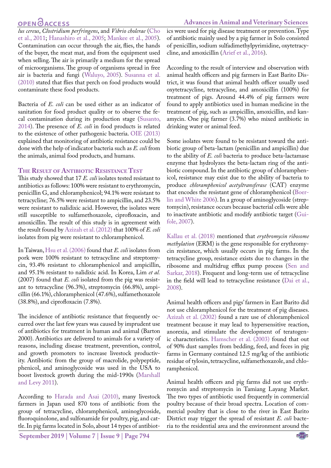#### **Advances in Animal and Veterinary Sciences**

*lus cereus*, *Clostridium perfringens*, and *Vibrio cholerae* ([Cho](#page-5-2) [et al., 2011;](#page-5-2) Hanashiro et al., 2005; [Mankee et al., 2005](#page-5-3)). Contamination can occur through the air, flies, the hands of the buyer, the meat mat, and from the equipment used when selling. The air is primarily a medium for the spread of microorganisms. The group of organisms spread in free air is bacteria and fungi ([Waluyo, 2005](#page-6-1)). [Susanna et al.](#page-6-2) [\(2010\)](#page-6-2) stated that flies that perch on food products would contaminate these food products.

Bacteria of *E. coli* can be used either as an indicator of sanitation for food product quality or to observe the fecal contamination during its production stage [\(Susanto,](#page-6-3) [2014\)](#page-6-3). The presence of *E. coli* in food products is related to the existence of other pathogenic bacteria. [OIE \(2013\)](#page-5-9) explained that monitoring of antibiotic resistance could be done with the help of indicator bacteria such as *E. coli* from the animals, animal food products, and humans.

#### **The Result of Antibiotic Resistance Test**

This study showed that 17 *E. coli* isolates tested resistant to antibiotics as follows: 100% were resistant to erythromycin, penicillin G, and chloramphenicol; 94.1% were resistant to tetracycline; 76.5% were resistant to ampicillin, and 23.5% were resistant to nalidixic acid. However, the isolates were still susceptible to sulfamethoxazole, ciprofloxacin, and amoxicillin. The result of this study is in agreement with the result found by [Azizah et al. \(2012\)](#page-4-1) that 100% of *E. coli*  isolates from pig were resistant to chloramphenicol.

In Taiwan, [Hsu et al. \(2006\)](#page-5-10) found that *E. coli* isolates from pork were 100% resistant to tetracycline and streptomycin, 93.4% resistant to chloramphenicol and ampicillin, and 95.1% resistant to nalidixic acid. In Korea, Lim *et al.* (2007) found that *E. coli* isolated from the pig was resistant to tetracycline (96.3%), streptomycin (66.8%), ampicillin (66.1%), chloramphenicol (47.6%), sulfamethoxazole (38.8%), and ciprofloxacin (7.8%).

The incidence of antibiotic resistance that frequently occurred over the last few years was caused by imprudent use of antibiotics for treatment in human and animal (Barton 2000). Antibiotics are delivered to animals for a variety of reasons, including disease treatment, prevention, control, and growth promoters to increase livestock productivity. Antibiotic from the group of macrolide, polypeptide, phenicol, and aminoglycoside was used in the USA to boost livestock growth during the mid-1990s ([Marshall](#page-5-11) [and Levy 2011](#page-5-11)).

According to [Harada and Asai \(2010\),](#page-5-12) many livestock farmers in Japan used 870 tons of antibiotic from the group of tetracycline, chloramphenicol, aminoglycoside, fluoroquinolone, and sulfonamide for poultry, pig, and cattle. In pig farms located in Solo, about 14 types of antibiot-

**September 2019 | Volume 7 | Issue 9 | Page 794**

ics were used for pig disease treatment or prevention. Type of antibiotic mainly used by a pig farmer in Solo consisted of penicillin, sodium sulfadimethylpyrimidine, oxytetracycline, and amoxicillin ([Arief et al., 2016\)](#page-4-2).

According to the result of interview and observation with animal health officers and pig farmers in East Barito District, it was found that animal health officer usually used oxytetracycline, tetracycline, and amoxicillin (100%) for treatment of pigs. Around 44.4% of pig farmers were found to apply antibiotics used in human medicine in the treatment of pig, such as ampicillin, amoxicillin, and kanamycin. One pig farmer (3.7%) who mixed antibiotic in drinking water or animal feed.

Some isolates were found to be resistant toward the antibiotic group of beta-lactam (penicillin and ampicillin) due to the ability of *E. coli* bacteria to produce beta-lactamase enzyme that hydrolyzes the beta-lactam ring of the antibiotic compound. In the antibiotic group of chloramphenicol, resistance may exist due to the ability of bacteria to produce *chloramphenicol acetyltransferase* (CAT) enzyme that encodes the resistant gene of chloramphenicol [\(Boer](#page-5-13)[lin and White 2006\)](#page-5-13). In a group of aminoglycoside (streptomycin), resistance occurs because bacterial cells were able to inactivate antibiotic and modify antibiotic target ([Gui](#page-5-14)[fole, 2007](#page-5-14)).

[Kallau et al. \(2018\)](#page-5-5) mentioned that *erythromycin ribosome methylation* (ERM) is the gene responsible for erythromycin resistance, which usually occurs in pig farms. In the tetracycline group, resistance exists due to changes in the ribosome and multidrug efflux pump process ([Sen and](#page-6-4)  [Sarkar, 2018](#page-6-4)). Frequent and long-term use of tetracycline in the field will lead to tetracycline resistance [\(Dai et al.,](#page-5-15)  [2008](#page-5-15)).

Animal health officers and pigs' farmers in East Barito did not use chloramphenicol for the treatment of pig diseases. [Azizah et al. \(2002\) f](#page-4-1)ound a rare use of chloramphenicol treatment because it may lead to hypersensitive reaction, anorexia, and stimulate the development of teratogenic characteristics. Hamscher et al. (2003) found that out of 90% dust samples from bedding, feed, and feces in pig farms in Germany contained 12.5 mg/kg of the antibiotic residue of tylosin, tetracycline, sulfamethoxazole, and chloramphenicol.

Animal health officers and pig farms did not use erythromycin and streptomycin in Tamiang Layang Market. The two types of antibiotic used frequently in commercial poultry because of their broad spectra. Location of commercial poultry that is close to the river in East Barito District may trigger the spread of resistant *E. coli* bacteria to the residential area and the environment around the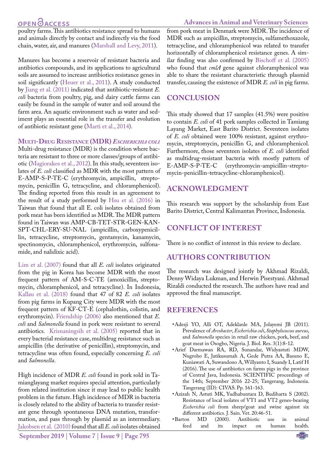# **OPEN**<sub>d</sub>

poultry farms. This antibiotics resistance spread to humans and animals directly by contact and indirectly via the food chain, water, air, and manures ([Marshall and Levy, 2011](#page-5-11)).

Manures has become a reservoir of resistant bacteria and antibiotics compounds, and its applications to agricultural soils are assumed to increase antibiotics resistance genes in soil significantly [\(Heuer et al., 2011](#page-5-16)). A study conducted by [Jiang et al. \(2011\)](#page-5-17) indicated that antibiotic-resistant *E. coli* bacteria from poultry, pig, and dairy cattle farms can easily be found in the sample of water and soil around the farm area. An aquatic environment such as water and sediment plays an essential role in the transfer and evolution of antibiotic resistant gene [\(Marti et al., 2014](#page-5-18)).

**Multi-Drug Resistance (MDR)** *Escherichia coli*

Multi-drug resistance (MDR) is the condition where bacteria are resistant to three or more classes/groups of antibiotic [\(Magiorakos et al., 2012\)](#page-5-19). In this study, seventeen isolates of *E. coli* classified as MDR with the most pattern of E-AMP-S-P-TE-C (erythromycin, ampicillin, streptomycin, penicillin G, tetracycline, and chloramphenicol). The finding reported from this result in an agreement to the result of a study performed by [Hsu et al. \(2016\)](#page-5-10) in Taiwan that found that all E. coli isolates obtained from pork meat has been identified as MDR. The MDR pattern found in Taiwan was AMP-CB-TET-STR-GEN-KAN-SPT-CHL-ERY-SU-NAL (ampicillin, carboxypenicillin, tetracycline, streptomycin, gentamycin, kanamycin, spectinomycin, chloramphenicol, erythromycin, sulfonamide, and nalidixic acid).

[Lim et al. \(2007\) f](#page-5-20)ound that all *E. coli* isolates originated from the pig in Korea has become MDR with the most frequent pattern of AM-S-C-TE (amoxicillin, streptomycin, chloramphenicol, and tetracycline). In Indonesia, [Kallau et al. \(2018\)](#page-5-5) found that 47 of 82 *E. coli* isolates from pig farms in Kupang City were MDR with the most frequent pattern of KF-CT-E (cephalothin, colistin, and erythromycin). [Friendship \(2006\)](#page-5-21) also mentioned that *E. coli* and *Salmonella* found in pork were resistant to several antibiotics*.* [Krisnaningsih et al. \(2005\)](#page-5-22) reported that in every bacterial resistance case, multidrug resistance such as ampicillin (the derivative of penicillin), streptomycin, and tetracycline was often found, especially concerning *E. coli*  and *Salmonella*.

High incidence of MDR *E. coli* found in pork sold in Tamianglayang market requires special attention, particularly from related institution since it may lead to public health problem in the future. High incidence of MDR in bacteria is closely related to the ability of bacteria to transfer resistant gene through spontaneous DNA mutation, transformation, and pass through by plasmid as an intermediary. [Jakobsen et al. \(2010\) f](#page-5-23)ound that all *E. coli* isolates obtained

**September 2019 | Volume 7 | Issue 9 | Page 795**

#### **Advances in Animal and Veterinary Sciences**

from pork meat in Denmark were MDR. The incidence of MDR such as ampicillin, streptomycin, sulfamethoxazole, tetracycline, and chloramphenicol was related to transfer horizontally of chloramphenicol resistance genes. A similar finding was also confirmed by [Bischoff et al. \(2005\)](#page-5-24)  who found that *cmlA* gene against chloramphenicol was able to share the resistant characteristic through plasmid transfer, causing the existence of MDR *E. coli* in pig farms.

## **CONCLUSION**

This study showed that 17 samples (41.5%) were positive to contain *E. coli* of 41 pork samples collected in Tamiang Layang Market, East Barito District. Seventeen isolates of *E. coli* obtained were 100% resistant, against erythromycin, streptomycin, penicillin G, and chloramphenicol. Furthermore, those seventeen isolates of *E. coli* identified as multidrug-resistant bacteria with mostly pattern of E-AMP-S-P-TE-C (erythromycin-ampicillin-strepto-(erythromycin-ampicillin-streptomycin-penicillin-tetracycline-chloramphenicol).

### **ACKNOWLEDGMENT**

This research was support by the scholarship from East Barito District, Central Kalimantan Province, Indonesia.

## **CONFLICT OF INTEREST**

There is no conflict of interest in this review to declare.

## **AUTHORS CONTRIBUTION**

The research was designed jointly by Akhmad Rizaldi, Denny Widaya Lukman, and Herwin Pisestyani. Akhmad Rizaldi conducted the research. The authors have read and approved the final manuscript.

## **REFERENCES**

- <span id="page-4-0"></span>• Adesji YO, Alli OT, Adeklanle MA, Jolayemi JB (2011). Prevalence of *Arcobacter*, *Escherichia coli*, *Staphylococcus aureus*, and *Salmonella* species in retail raw chicken, pork, beef, and goat meat in Osogbo, Nigeria. J. Biol. Res. 3(1):8-12.
- <span id="page-4-2"></span>• Arief Darmawan RA, RD, Sunandar, Widyastuti MDW, Nugroho E, Jatikusumah A, Gede Putra AA, Basuno E, Kuniawati A, Suwandono A, Willyanto I, Suandy I, Latif H (2016). The use of antibiotics on farms pigs in the province of Central Java, Indonesia. SCIENTIFIC proceedings of the 14th; September 2016 22-25; Tangerang, Indonesia. Tangerang (ID): CIVAS. Pp. 161-163.
- <span id="page-4-1"></span>• Azizah N, Astuti MK, Yudhabuntara D, Budiharta S (2002). Resistance of local isolates of VT1 and VT2 genes-bearing *Escherichia coli* from sheep/goat and swine against six different antibiotics. J. Sain. Vet. 20:46-51.<br>ton MD (2000). Antibiotic us
- •Barton MD (2000). Antibiotic use in animal feed and its impact on human health. and its impact on human health.

NE**X**US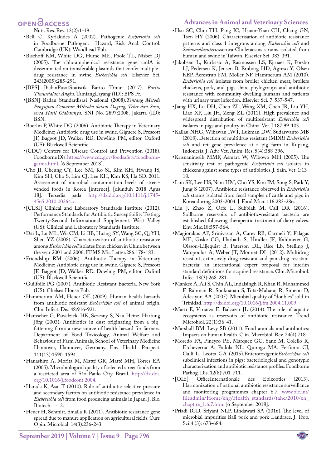#### <span id="page-5-10"></span>**Advances in Animal and Veterinary Sciences**

## **OPEN**OACCESS

<span id="page-5-8"></span>Nutr. Res. Rev. 13(2):1-19.

- • Bell C, Kyriakides A (2002). Pathogenic *Escherichia coli*  in Foodborne Pathogen: Hazard, Risk Anal. Control. Cambridge (UK): Woodhead Pub.
- <span id="page-5-24"></span>• Bischoff KM, White DG, Hume ME, Poole TL, Nisbet DJ (2005). The chloramphenicol resistance gene cmlA is disseminated on transferable plasmids that confer multipledrug resistance in swine *Escherichia coli*. Elsevier Sci. 243(2005):285-291.
- <span id="page-5-1"></span>• [BPS] BadanPusatStatistik Barito Timur (2017). *Barito Timurdalam Angka*. TamiangLayang (ID): BPS Pr.
- • [BSN] Badan Standardisasi Nasional (2008).*Tentang Metode Pengujian Cemaran Mikroba dalam Daging, Telur dan Susu, serta Hasil Olahannya*. SNI No. 2897:2008. Jakarta (ID): BSN.
- <span id="page-5-13"></span>• Boerlin P, White DG (2006). Antibiotic Therapy in Veterinary Medicine; Antibiotic drug use in swine. Giguere S, Prescott JF, Baggot JD, Walker RD, Dowling PM, editor. Oxford (US): Blackwell Scientific.
- <span id="page-5-4"></span>• (CDC) Centers for Disease Control and Prevention (2018). Foodborne Dis. [https://www.cdc.gov/foodsafety/foodborne](https://www.cdc.gov/foodsafety/foodborne-germs.html )[germs.html](https://www.cdc.gov/foodsafety/foodborne-germs.html ). [6 September 2018].
- <span id="page-5-2"></span>• Cho JI, Cheung CY, Lee SM, Ko SI, Kim KH, Hwang IS, Kim SH, Cho S, Lim CJ, Lee KH, Kim KS, Ha SD. 2011. Assessment of microbial contamination levels of streetvended foods in Korea [internet]. [diunduh 2018 Agus 18]. Tersedia pada: [http://dx.doi.org/10.1111/j.1745-](http://dx.doi.org/10.1111/j.1745-4565.2010.00264.x ) [4565.2010.00264.x](http://dx.doi.org/10.1111/j.1745-4565.2010.00264.x ).
- <span id="page-5-7"></span>• [CLSI] Clinical and Laboratory Standards Institute (2012). Performance Standards for Antibiotic Susceptibility Testing; Twenty-Second Informational Supplement. West Valley (US): Clinical and Laboratory Standards Institute.
- <span id="page-5-15"></span>• Dai L, Lu ML, Wu CM, Li BB, Huang SY, Wang SC, Qi YH, Shen YZ (2008). Characterization of antibiotic resistance among *Escherichia coli* isolates from chicken in China between the year 2001 and 2006. FEMS Mic Letter.286:178-183.
- <span id="page-5-21"></span>• Friendship RM (2006). Antibiotic Therapy in Veterinary Medicine; Antibiotic drug use in swine. Giguere S, Prescott JF, Baggot JD, Walker RD, Dowling PM, editor. Oxford (US): Blackwell Scientific.
- <span id="page-5-14"></span>• Guilfoile PG (2007). Antibiotic-Resistant Bacteria. New York (US): Chelsea House Pub.
- • Hammerum AM, Heuer OE (2009). Human health hazards from antibiotic resistant *Escherichia coli* of animal origin. Clin. Infect. Dis. 48:916-921.
- • Hamscher G, Pawelzick. HK, Sczesny. S, Nau Heinz, Hartung Jörg (2003). Antibiotics in dust originating from a pigfattening farm: a new source of health hazard for farmers. Department of Food Toxicology, Animal Welfare and Behaviour of Farm Animals, School of Veterinary Medicine Hannover, Hannover, Germany. Env. Health Perspect. 111(13):1590–1594.
- • Hanashiro A, Morita M, Matté GR, Matté MH, Torres EA (2005). Microbiological quality of selected street foods from a restricted area of São Paulo City, Brazil. [http://dx.doi.](http://dx.doi.org/10.1016/j.foodcont.2004 ) [org/10.1016/j.foodcont.2004](http://dx.doi.org/10.1016/j.foodcont.2004 ).
- <span id="page-5-12"></span>• Harada K, Asai T (2010). Role of antibiotic selective pressure and secondary factors on antibiotic resistance prevalence in *Escherichia coli* from food producing animals in Japan. J. Bio. Biotech. 1-12.
- <span id="page-5-16"></span>• Heuer H, Schmitt, Smalla K (2011). Antibiotic resistance gene spread due to manure application on agricultural fields. Curr. Opin. Microbial. 14(3):236-243.
- • Hsu SC, Chiu TH, Pang JC, Hsuan-Yuan CH, Chang GN, Tsen HY (2006). Characterisation of antibiotic resistance patterns and class 1 integrons among *Escherichia coli* and *Salmonellaenterica*serovarCholeraesuis strains isolated from human and swine in Taiwan. Elsevier Sci. 383-391.
- <span id="page-5-23"></span>• Jakobsen L, Kurbasic A, Rasmussen LS, Ejrnaes K, Porsbo LJ, Pedersen K, Jensen B, Emborg HD, Agreso Y, Olsen KEP, Aerestrup FM, Moller NF, Hammerum AM (2010). *Escherichia coli* isolates from broiler chicken meat, broilers chickens, pork, and pigs share phylogroups and antibiotic resistance with community-dwelling humans and patients with urinary tract infection. Elsevier Sci*.* 7. 537-547.
- <span id="page-5-17"></span>• Jiang HX, Lu DH, Chen ZL, Wang XM, Chen JR, Liu YH, Liao XP, Liu JH, Zeng ZL (2011). High prevalence and widespread distribution of multiresistant *Esherichia coli* isolates in pigs and poultry in China. Vet. J*.*187:99-103.
- <span id="page-5-5"></span>• Kallau NHG, Wibawan IWT, Lukman DW, Sudarwanto MB (2018). Detection of multidrug resistant (MDR) *Escherichia coli* and tet gene prevalence at a pig farm in Kupang, Indonesia. J. Adv. Vet. Anim. Res. 5(4):388-396.
- <span id="page-5-22"></span>• Krisnaningsih MMF, Asmara W, Wibowo MH (2005). The sensitivity test of pathogenic *Escherichia coli* isolates in chickens against some types of antibiotics. J. Sain. Vet. 1:13- 18.
- <span id="page-5-20"></span>• Lim SK, Lee HS, Nam HM, Cho YS, Kim JM, Song S, Park Y, Jung S (2007). Antibiotic resistance observed in *Escherichia coli* strains isolated from fecal samples of cattle and pigs in Korea during 2003-2004. J. Food Micr. 116:283-286.
- <span id="page-5-6"></span>• Liu J, Zhao Z, Orfe L, Subbiah M, Call DR (2016). Soilborne reservoirs of antibiotic-resistant bacteria are established following therapeutic treatment of dairy calves. Env. Mic*.*18:557-564.
- <span id="page-5-19"></span>• Magiorakos AP, Srinivasan A, Carey RB, Carmeli Y, Falagas ME, Giske CG, Harbath S, Hindler JF, Kahlmeter G, Olsson-Liljequist B, Paterson DL, Rice Lb, Stelling J, Vatopoulus A, Weber JT, Monnet DL (2012). Multidrug resistant, extensively drug-resistant and pan-drug-resistant bacteria: an international expert proposal for interim standard definitions for acquired resistance. Clin. Microbiol. Infec. 18(3):268-281.
- <span id="page-5-3"></span>• Mankee A, Ali S, Chin AL, Indalsingh R, Khan R, Mohammed F, Rahman R, Sooknanan S, Tota-Maharaj R, Simeon D, Adesiyun AA (2005). Microbial quality of "doubles" sold in Trinidad. [http://dx.doi.org/10.1016/j.fm.2004.11.009](http://dx.doi.org/10.1016/j.fm.2004.11.009 )
- <span id="page-5-18"></span>• Marti E, Variatza E, Balcazar JL (2014). The role of aquatic ecosystems as reservoirs of antibiotic resistance. Trend Microbiol. 22(1):36-41.
- <span id="page-5-11"></span>• Marshall BM, Levy SB (2011). Food animals and antibiotics: Impacts on human health. Clin. Microbiol. Rev. 24(4):718.
- • Moredo FA, Pineyro PE, Marquez GC, Sanz M, Colello R, Etcheverria A, Padola NL, Quiroga MA, Perfumo CJ, Galli L, Leotta GA (2015).Enterotoxigenic*Escherichia coli* subclinical infections in pigs: bacteriological and genotypic characterization and antibiotic resistance profiles. Foodborne Pathog. Dis. 12(8):701-711.<br>
• [OIE] OfficeInternationale
- <span id="page-5-9"></span>OfficeInternationale des Epizooties (2013). Harmonization of national antibiotic resistance surveillance and monitoring programmes chapter 6.7. [www.oie.int/](http://www.oie.int/fileadmin/Home/eng/Health_standards/tahc/2010/en_chaptire_1.6.7.htm) [fileadmin/Home/eng/Health\\_standards/tahc/2010/en\\_](http://www.oie.int/fileadmin/Home/eng/Health_standards/tahc/2010/en_chaptire_1.6.7.htm) [chaptire\\_1.6.7.htm](http://www.oie.int/fileadmin/Home/eng/Health_standards/tahc/2010/en_chaptire_1.6.7.htm). [6 September 2018].
- <span id="page-5-0"></span>• Priadi IGD, Sriyani NLP, Lindawati SA (2016). The level of microbial impurities Bali pork and pork Landrace. J. Trop. Sci.4 (3): 673-684.